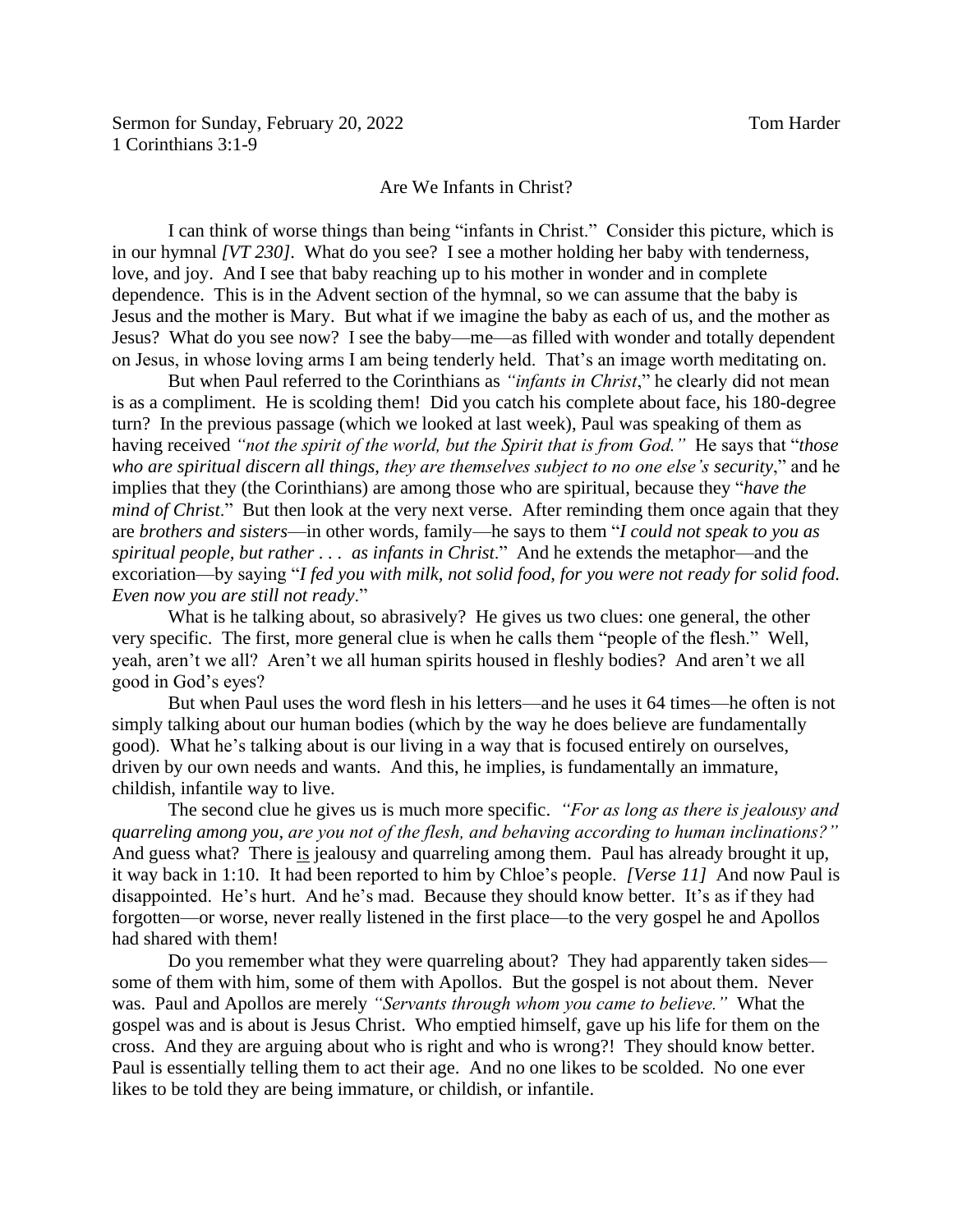## Are We Infants in Christ?

I can think of worse things than being "infants in Christ." Consider this picture, which is in our hymnal *[VT 230]*. What do you see? I see a mother holding her baby with tenderness, love, and joy. And I see that baby reaching up to his mother in wonder and in complete dependence. This is in the Advent section of the hymnal, so we can assume that the baby is Jesus and the mother is Mary. But what if we imagine the baby as each of us, and the mother as Jesus? What do you see now? I see the baby—me—as filled with wonder and totally dependent on Jesus, in whose loving arms I am being tenderly held. That's an image worth meditating on.

But when Paul referred to the Corinthians as *"infants in Christ*," he clearly did not mean is as a compliment. He is scolding them! Did you catch his complete about face, his 180-degree turn? In the previous passage (which we looked at last week), Paul was speaking of them as having received *"not the spirit of the world, but the Spirit that is from God."* He says that "*those who are spiritual discern all things, they are themselves subject to no one else's security*," and he implies that they (the Corinthians) are among those who are spiritual, because they "*have the mind of Christ*." But then look at the very next verse. After reminding them once again that they are *brothers and sisters*—in other words, family—he says to them "*I could not speak to you as spiritual people, but rather . . . as infants in Christ*." And he extends the metaphor—and the excoriation—by saying "*I fed you with milk, not solid food, for you were not ready for solid food. Even now you are still not ready*."

What is he talking about, so abrasively? He gives us two clues: one general, the other very specific. The first, more general clue is when he calls them "people of the flesh." Well, yeah, aren't we all? Aren't we all human spirits housed in fleshly bodies? And aren't we all good in God's eyes?

But when Paul uses the word flesh in his letters—and he uses it 64 times—he often is not simply talking about our human bodies (which by the way he does believe are fundamentally good). What he's talking about is our living in a way that is focused entirely on ourselves, driven by our own needs and wants. And this, he implies, is fundamentally an immature, childish, infantile way to live.

The second clue he gives us is much more specific. *"For as long as there is jealousy and quarreling among you, are you not of the flesh, and behaving according to human inclinations?"* And guess what? There is jealousy and quarreling among them. Paul has already brought it up, it way back in 1:10. It had been reported to him by Chloe's people. *[Verse 11]* And now Paul is disappointed. He's hurt. And he's mad. Because they should know better. It's as if they had forgotten—or worse, never really listened in the first place—to the very gospel he and Apollos had shared with them!

Do you remember what they were quarreling about? They had apparently taken sides some of them with him, some of them with Apollos. But the gospel is not about them. Never was. Paul and Apollos are merely *"Servants through whom you came to believe."* What the gospel was and is about is Jesus Christ. Who emptied himself, gave up his life for them on the cross. And they are arguing about who is right and who is wrong?! They should know better. Paul is essentially telling them to act their age. And no one likes to be scolded. No one ever likes to be told they are being immature, or childish, or infantile.